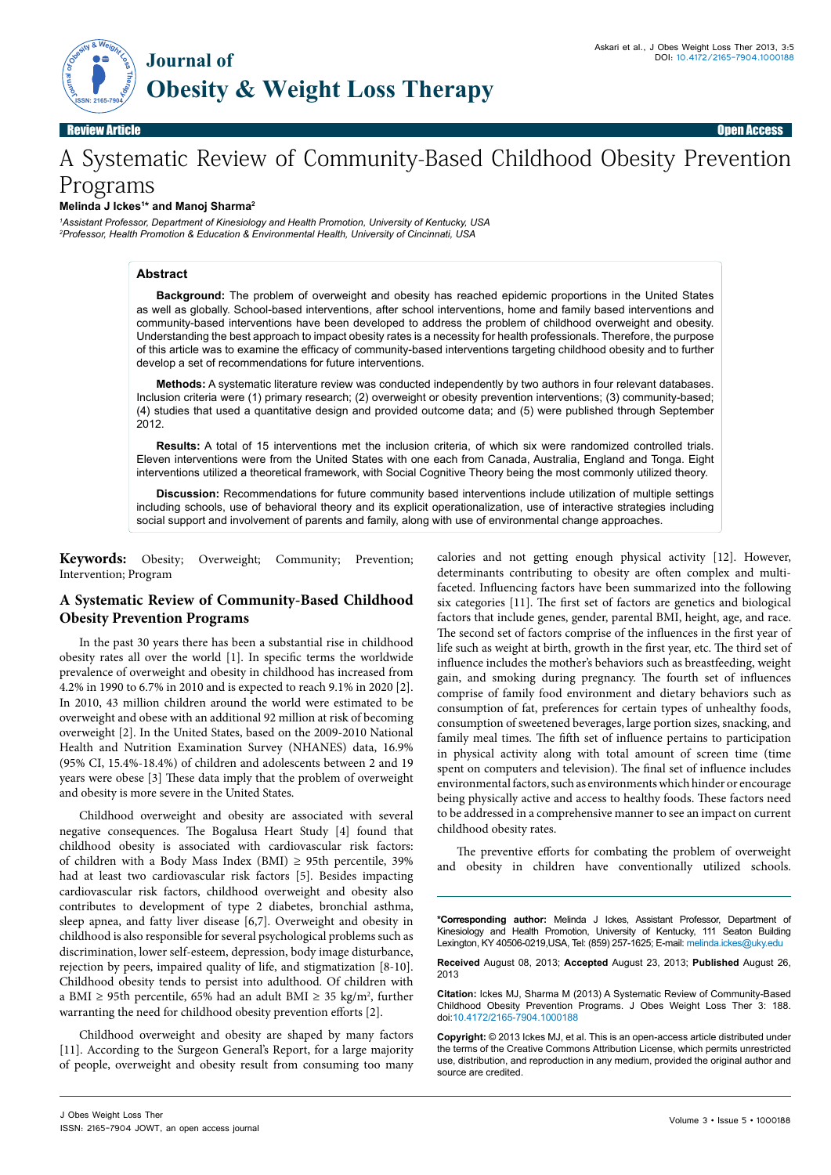

Review Article Contract of the Contract of the Contract of the Contract of the Contract of the Contract of the Contract of the Contract of the Contract of the Contract of the Contract of the Contract of the Contract of the

# A Systematic Review of Community-Based Childhood Obesity Prevention Programs

## **Melinda J Ickes1 \* and Manoj Sharma2**

*1 Assistant Professor, Department of Kinesiology and Health Promotion, University of Kentucky, USA 2 Professor, Health Promotion & Education & Environmental Health, University of Cincinnati, USA*

## **Abstract**

**Background:** The problem of overweight and obesity has reached epidemic proportions in the United States as well as globally. School-based interventions, after school interventions, home and family based interventions and community-based interventions have been developed to address the problem of childhood overweight and obesity. Understanding the best approach to impact obesity rates is a necessity for health professionals. Therefore, the purpose of this article was to examine the efficacy of community-based interventions targeting childhood obesity and to further develop a set of recommendations for future interventions.

**Methods:** A systematic literature review was conducted independently by two authors in four relevant databases. Inclusion criteria were (1) primary research; (2) overweight or obesity prevention interventions; (3) community-based; (4) studies that used a quantitative design and provided outcome data; and (5) were published through September 2012.

**Results:** A total of 15 interventions met the inclusion criteria, of which six were randomized controlled trials. Eleven interventions were from the United States with one each from Canada, Australia, England and Tonga. Eight interventions utilized a theoretical framework, with Social Cognitive Theory being the most commonly utilized theory.

**Discussion:** Recommendations for future community based interventions include utilization of multiple settings including schools, use of behavioral theory and its explicit operationalization, use of interactive strategies including social support and involvement of parents and family, along with use of environmental change approaches.

**Keywords:** Obesity; Overweight; Community; Prevention; Intervention; Program

# **A Systematic Review of Community-Based Childhood Obesity Prevention Programs**

In the past 30 years there has been a substantial rise in childhood obesity rates all over the world [1]. In specific terms the worldwide prevalence of overweight and obesity in childhood has increased from 4.2% in 1990 to 6.7% in 2010 and is expected to reach 9.1% in 2020 [2]. In 2010, 43 million children around the world were estimated to be overweight and obese with an additional 92 million at risk of becoming overweight [2]. In the United States, based on the 2009-2010 National Health and Nutrition Examination Survey (NHANES) data, 16.9% (95% CI, 15.4%-18.4%) of children and adolescents between 2 and 19 years were obese [3] These data imply that the problem of overweight and obesity is more severe in the United States.

Childhood overweight and obesity are associated with several negative consequences. The Bogalusa Heart Study [4] found that childhood obesity is associated with cardiovascular risk factors: of children with a Body Mass Index (BMI) ≥ 95th percentile, 39% had at least two cardiovascular risk factors [5]. Besides impacting cardiovascular risk factors, childhood overweight and obesity also contributes to development of type 2 diabetes, bronchial asthma, sleep apnea, and fatty liver disease [6,7]. Overweight and obesity in childhood is also responsible for several psychological problems such as discrimination, lower self-esteem, depression, body image disturbance, rejection by peers, impaired quality of life, and stigmatization [8-10]. Childhood obesity tends to persist into adulthood. Of children with a BMI ≥ 95th percentile, 65% had an adult BMI ≥ 35 kg/m<sup>2</sup>, further warranting the need for childhood obesity prevention efforts [2].

Childhood overweight and obesity are shaped by many factors [11]. According to the Surgeon General's Report, for a large majority of people, overweight and obesity result from consuming too many

calories and not getting enough physical activity [12]. However, determinants contributing to obesity are often complex and multifaceted. Influencing factors have been summarized into the following six categories [11]. The first set of factors are genetics and biological factors that include genes, gender, parental BMI, height, age, and race. The second set of factors comprise of the influences in the first year of life such as weight at birth, growth in the first year, etc. The third set of influence includes the mother's behaviors such as breastfeeding, weight gain, and smoking during pregnancy. The fourth set of influences comprise of family food environment and dietary behaviors such as consumption of fat, preferences for certain types of unhealthy foods, consumption of sweetened beverages, large portion sizes, snacking, and family meal times. The fifth set of influence pertains to participation in physical activity along with total amount of screen time (time spent on computers and television). The final set of influence includes environmental factors, such as environments which hinder or encourage being physically active and access to healthy foods. These factors need to be addressed in a comprehensive manner to see an impact on current childhood obesity rates.

The preventive efforts for combating the problem of overweight and obesity in children have conventionally utilized schools.

**\*Corresponding author:** Melinda J Ickes, Assistant Professor, Department of Kinesiology and Health Promotion, University of Kentucky, 111 Seaton Building Lexington, KY 40506-0219,USA, Tel: (859) 257-1625; E-mail: melinda.ickes@uky.edu

**Received** August 08, 2013; **Accepted** August 23, 2013; **Published** August 26, 2013

**Citation:** Ickes MJ, Sharma M (2013) A Systematic Review of Community-Based Childhood Obesity Prevention Programs. J Obes Weight Loss Ther 3: 188. doi:10.4172/2165-7904.1000188

**Copyright:** © 2013 Ickes MJ, et al. This is an open-access article distributed under the terms of the Creative Commons Attribution License, which permits unrestricted use, distribution, and reproduction in any medium, provided the original author and source are credited.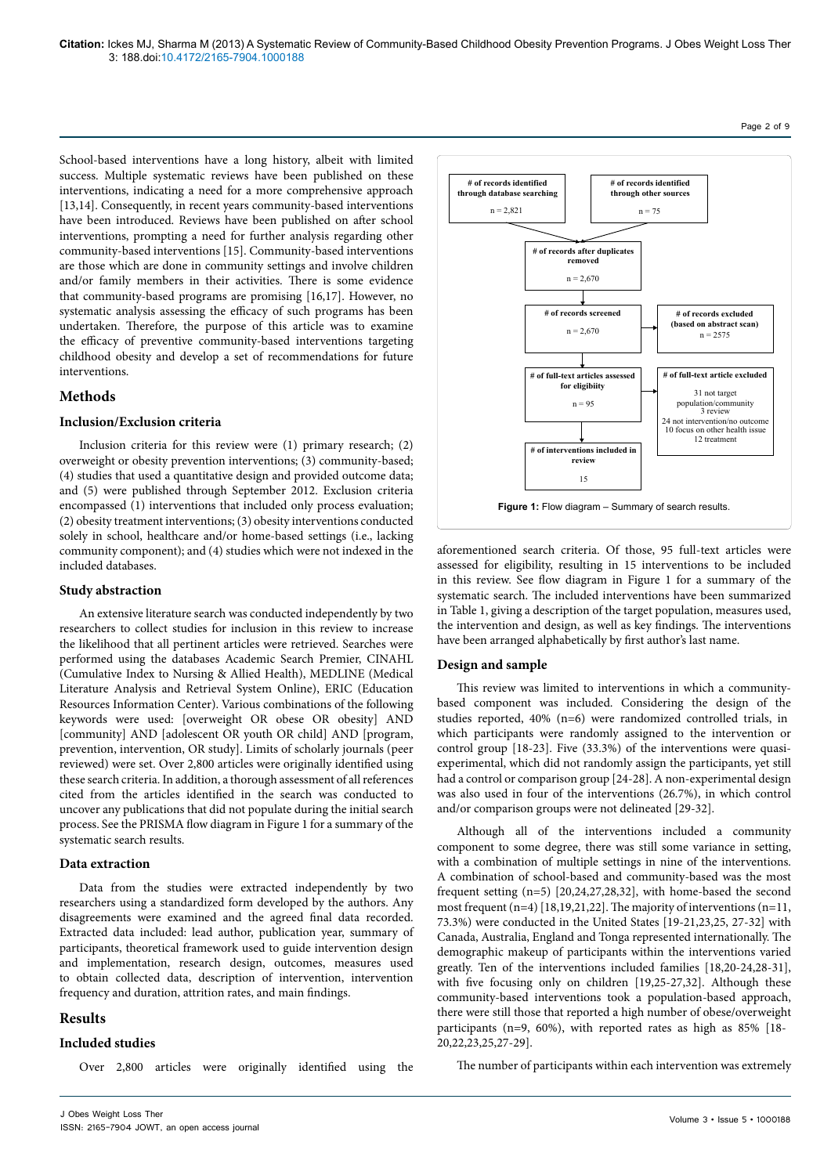School-based interventions have a long history, albeit with limited success. Multiple systematic reviews have been published on these interventions, indicating a need for a more comprehensive approach [13,14]. Consequently, in recent years community-based interventions have been introduced. Reviews have been published on after school interventions, prompting a need for further analysis regarding other community-based interventions [15]. Community-based interventions are those which are done in community settings and involve children and/or family members in their activities. There is some evidence that community-based programs are promising [16,17]. However, no systematic analysis assessing the efficacy of such programs has been undertaken. Therefore, the purpose of this article was to examine the efficacy of preventive community-based interventions targeting childhood obesity and develop a set of recommendations for future interventions.

# **Methods**

#### **Inclusion/Exclusion criteria**

Inclusion criteria for this review were (1) primary research; (2) overweight or obesity prevention interventions; (3) community-based; (4) studies that used a quantitative design and provided outcome data; and (5) were published through September 2012. Exclusion criteria encompassed (1) interventions that included only process evaluation; (2) obesity treatment interventions; (3) obesity interventions conducted solely in school, healthcare and/or home-based settings (i.e., lacking community component); and (4) studies which were not indexed in the included databases.

#### **Study abstraction**

An extensive literature search was conducted independently by two researchers to collect studies for inclusion in this review to increase the likelihood that all pertinent articles were retrieved. Searches were performed using the databases Academic Search Premier, CINAHL (Cumulative Index to Nursing & Allied Health), MEDLINE (Medical Literature Analysis and Retrieval System Online), ERIC (Education Resources Information Center). Various combinations of the following keywords were used: [overweight OR obese OR obesity] AND [community] AND [adolescent OR youth OR child] AND [program, prevention, intervention, OR study]. Limits of scholarly journals (peer reviewed) were set. Over 2,800 articles were originally identified using these search criteria. In addition, a thorough assessment of all references cited from the articles identified in the search was conducted to uncover any publications that did not populate during the initial search process. See the PRISMA flow diagram in Figure 1 for a summary of the systematic search results.

#### **Data extraction**

Data from the studies were extracted independently by two researchers using a standardized form developed by the authors. Any disagreements were examined and the agreed final data recorded. Extracted data included: lead author, publication year, summary of participants, theoretical framework used to guide intervention design and implementation, research design, outcomes, measures used to obtain collected data, description of intervention, intervention frequency and duration, attrition rates, and main findings.

# **Results**

## **Included studies**

Over 2,800 articles were originally identified using the



aforementioned search criteria. Of those, 95 full-text articles were assessed for eligibility, resulting in 15 interventions to be included in this review. See flow diagram in Figure 1 for a summary of the systematic search. The included interventions have been summarized in Table 1, giving a description of the target population, measures used, the intervention and design, as well as key findings. The interventions have been arranged alphabetically by first author's last name.

### **Design and sample**

This review was limited to interventions in which a communitybased component was included. Considering the design of the studies reported, 40% (n=6) were randomized controlled trials, in which participants were randomly assigned to the intervention or control group [18-23]. Five (33.3%) of the interventions were quasiexperimental, which did not randomly assign the participants, yet still had a control or comparison group [24-28]. A non-experimental design was also used in four of the interventions (26.7%), in which control and/or comparison groups were not delineated [29-32].

Although all of the interventions included a community component to some degree, there was still some variance in setting, with a combination of multiple settings in nine of the interventions. A combination of school-based and community-based was the most frequent setting (n=5) [20,24,27,28,32], with home-based the second most frequent (n=4) [18,19,21,22]. The majority of interventions (n=11, 73.3%) were conducted in the United States [19-21,23,25, 27-32] with Canada, Australia, England and Tonga represented internationally. The demographic makeup of participants within the interventions varied greatly. Ten of the interventions included families [18,20-24,28-31], with five focusing only on children [19,25-27,32]. Although these community-based interventions took a population-based approach, there were still those that reported a high number of obese/overweight participants (n=9, 60%), with reported rates as high as 85% [18- 20,22,23,25,27-29].

The number of participants within each intervention was extremely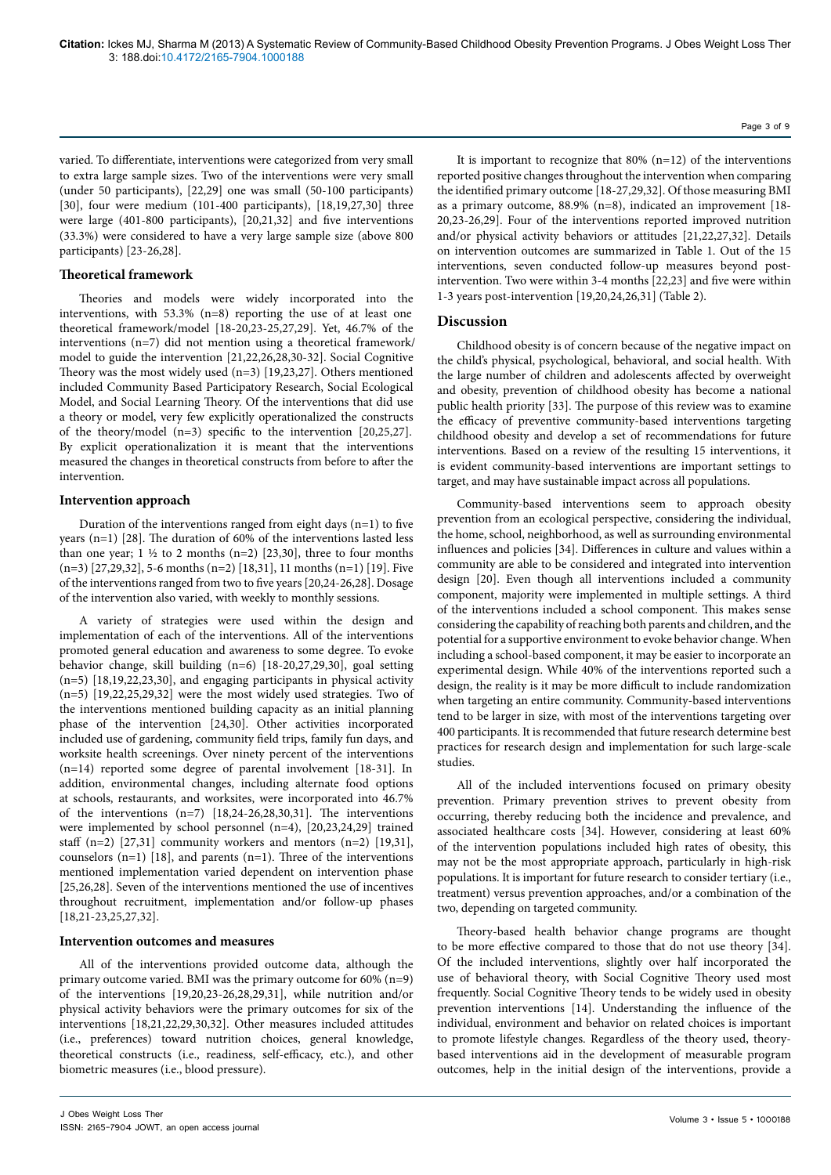varied. To differentiate, interventions were categorized from very small to extra large sample sizes. Two of the interventions were very small (under 50 participants), [22,29] one was small (50-100 participants) [30], four were medium (101-400 participants), [18,19,27,30] three were large (401-800 participants), [20,21,32] and five interventions (33.3%) were considered to have a very large sample size (above 800 participants) [23-26,28].

#### **Theoretical framework**

Theories and models were widely incorporated into the interventions, with 53.3% (n=8) reporting the use of at least one theoretical framework/model [18-20,23-25,27,29]. Yet, 46.7% of the interventions (n=7) did not mention using a theoretical framework/ model to guide the intervention [21,22,26,28,30-32]. Social Cognitive Theory was the most widely used (n=3) [19,23,27]. Others mentioned included Community Based Participatory Research, Social Ecological Model, and Social Learning Theory. Of the interventions that did use a theory or model, very few explicitly operationalized the constructs of the theory/model (n=3) specific to the intervention [20,25,27]. By explicit operationalization it is meant that the interventions measured the changes in theoretical constructs from before to after the intervention.

#### **Intervention approach**

Duration of the interventions ranged from eight days (n=1) to five years (n=1) [28]. The duration of 60% of the interventions lasted less than one year;  $1 \frac{1}{2}$  to 2 months (n=2) [23,30], three to four months (n=3) [27,29,32], 5-6 months (n=2) [18,31], 11 months (n=1) [19]. Five of the interventions ranged from two to five years [20,24-26,28]. Dosage of the intervention also varied, with weekly to monthly sessions.

A variety of strategies were used within the design and implementation of each of the interventions. All of the interventions promoted general education and awareness to some degree. To evoke behavior change, skill building (n=6) [18-20,27,29,30], goal setting (n=5) [18,19,22,23,30], and engaging participants in physical activity (n=5) [19,22,25,29,32] were the most widely used strategies. Two of the interventions mentioned building capacity as an initial planning phase of the intervention [24,30]. Other activities incorporated included use of gardening, community field trips, family fun days, and worksite health screenings. Over ninety percent of the interventions (n=14) reported some degree of parental involvement [18-31]. In addition, environmental changes, including alternate food options at schools, restaurants, and worksites, were incorporated into 46.7% of the interventions (n=7) [18,24-26,28,30,31]. The interventions were implemented by school personnel (n=4), [20,23,24,29] trained staff  $(n=2)$  [27,31] community workers and mentors  $(n=2)$  [19,31], counselors  $(n=1)$  [18], and parents  $(n=1)$ . Three of the interventions mentioned implementation varied dependent on intervention phase [25,26,28]. Seven of the interventions mentioned the use of incentives throughout recruitment, implementation and/or follow-up phases [18,21-23,25,27,32].

#### **Intervention outcomes and measures**

All of the interventions provided outcome data, although the primary outcome varied. BMI was the primary outcome for 60% (n=9) of the interventions [19,20,23-26,28,29,31], while nutrition and/or physical activity behaviors were the primary outcomes for six of the interventions [18,21,22,29,30,32]. Other measures included attitudes (i.e., preferences) toward nutrition choices, general knowledge, theoretical constructs (i.e., readiness, self-efficacy, etc.), and other biometric measures (i.e., blood pressure).

It is important to recognize that  $80\%$  (n=12) of the interventions reported positive changes throughout the intervention when comparing the identified primary outcome [18-27,29,32]. Of those measuring BMI as a primary outcome, 88.9% (n=8), indicated an improvement [18- 20,23-26,29]. Four of the interventions reported improved nutrition and/or physical activity behaviors or attitudes [21,22,27,32]. Details on intervention outcomes are summarized in Table 1. Out of the 15 interventions, seven conducted follow-up measures beyond postintervention. Two were within 3-4 months [22,23] and five were within 1-3 years post-intervention [19,20,24,26,31] (Table 2).

#### **Discussion**

Childhood obesity is of concern because of the negative impact on the child's physical, psychological, behavioral, and social health. With the large number of children and adolescents affected by overweight and obesity, prevention of childhood obesity has become a national public health priority [33]. The purpose of this review was to examine the efficacy of preventive community-based interventions targeting childhood obesity and develop a set of recommendations for future interventions. Based on a review of the resulting 15 interventions, it is evident community-based interventions are important settings to target, and may have sustainable impact across all populations.

Community-based interventions seem to approach obesity prevention from an ecological perspective, considering the individual, the home, school, neighborhood, as well as surrounding environmental influences and policies [34]. Differences in culture and values within a community are able to be considered and integrated into intervention design [20]. Even though all interventions included a community component, majority were implemented in multiple settings. A third of the interventions included a school component. This makes sense considering the capability of reaching both parents and children, and the potential for a supportive environment to evoke behavior change. When including a school-based component, it may be easier to incorporate an experimental design. While 40% of the interventions reported such a design, the reality is it may be more difficult to include randomization when targeting an entire community. Community-based interventions tend to be larger in size, with most of the interventions targeting over 400 participants. It is recommended that future research determine best practices for research design and implementation for such large-scale studies.

All of the included interventions focused on primary obesity prevention. Primary prevention strives to prevent obesity from occurring, thereby reducing both the incidence and prevalence, and associated healthcare costs [34]. However, considering at least 60% of the intervention populations included high rates of obesity, this may not be the most appropriate approach, particularly in high-risk populations. It is important for future research to consider tertiary (i.e., treatment) versus prevention approaches, and/or a combination of the two, depending on targeted community.

Theory-based health behavior change programs are thought to be more effective compared to those that do not use theory [34]. Of the included interventions, slightly over half incorporated the use of behavioral theory, with Social Cognitive Theory used most frequently. Social Cognitive Theory tends to be widely used in obesity prevention interventions [14]. Understanding the influence of the individual, environment and behavior on related choices is important to promote lifestyle changes. Regardless of the theory used, theorybased interventions aid in the development of measurable program outcomes, help in the initial design of the interventions, provide a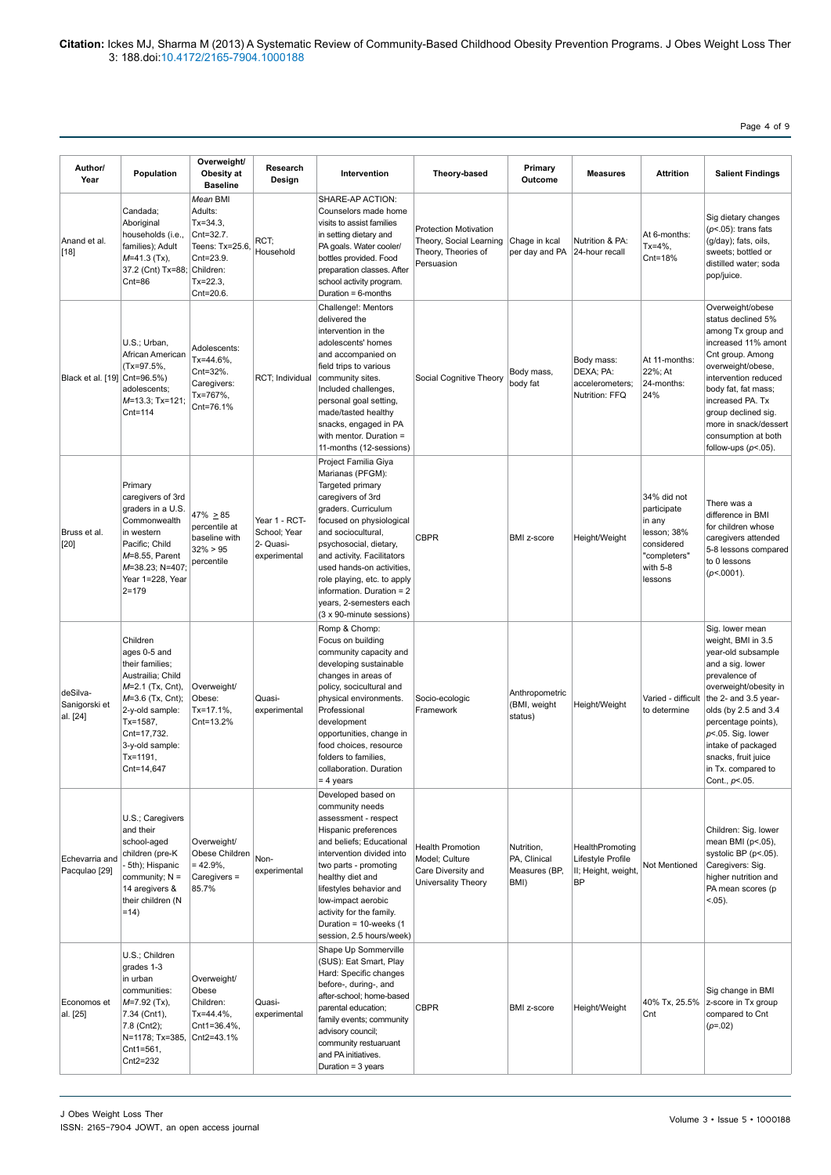Page 4 of 9

| Author/<br>Year                       | Population                                                                                                                                                                                            | Overweight/<br>Obesity at<br><b>Baseline</b>                                                                             | Research<br>Design                                         | Intervention                                                                                                                                                                                                                                                                                                                                                       | Theory-based                                                                                 | Primary<br>Outcome                                  | <b>Measures</b>                                                          | <b>Attrition</b>                                                                                         | <b>Salient Findings</b>                                                                                                                                                                                                                                                                                       |
|---------------------------------------|-------------------------------------------------------------------------------------------------------------------------------------------------------------------------------------------------------|--------------------------------------------------------------------------------------------------------------------------|------------------------------------------------------------|--------------------------------------------------------------------------------------------------------------------------------------------------------------------------------------------------------------------------------------------------------------------------------------------------------------------------------------------------------------------|----------------------------------------------------------------------------------------------|-----------------------------------------------------|--------------------------------------------------------------------------|----------------------------------------------------------------------------------------------------------|---------------------------------------------------------------------------------------------------------------------------------------------------------------------------------------------------------------------------------------------------------------------------------------------------------------|
| Anand et al.<br>$[18]$                | Candada;<br>Aboriginal<br>households (i.e.,<br>families); Adult<br>$M=41.3$ (Tx),<br>37.2 (Cnt) Tx=88;<br>$Cnt = 86$                                                                                  | Mean BMI<br>Adults:<br>$Tx = 34.3$<br>Cnt=32.7.<br>Teens: Tx=25.6,<br>Cnt=23.9.<br>Children:<br>$Tx = 22.3$<br>Cnt=20.6. | RCT;<br>Household                                          | SHARE-AP ACTION:<br>Counselors made home<br>visits to assist families<br>in setting dietary and<br>PA goals. Water cooler/<br>bottles provided. Food<br>preparation classes. After<br>school activity program.<br>Duration = 6-months                                                                                                                              | <b>Protection Motivation</b><br>Theory, Social Learning<br>Theory, Theories of<br>Persuasion | Chage in kcal<br>per day and PA                     | Nutrition & PA:<br>24-hour recall                                        | At 6-months:<br>$Tx = 4\%,$<br>Cnt=18%                                                                   | Sig dietary changes<br>$(p<.05)$ : trans fats<br>(g/day); fats, oils,<br>sweets; bottled or<br>distilled water; soda<br>pop/juice.                                                                                                                                                                            |
| Black et al. [19]                     | U.S.; Urban,<br>African American<br>(Tx=97.5%,<br>Cnt=96.5%)<br>adolescents;<br>M=13.3; Tx=121;<br>$Cnt = 114$                                                                                        | Adolescents:<br>Tx=44.6%,<br>Cnt=32%.<br>Caregivers:<br>Tx=767%,<br>Cnt=76.1%                                            | RCT; Individual                                            | Challenge!: Mentors<br>delivered the<br>intervention in the<br>adolescents' homes<br>and accompanied on<br>field trips to various<br>community sites.<br>Included challenges,<br>personal goal setting,<br>made/tasted healthy<br>snacks, engaged in PA<br>with mentor. Duration =<br>11-months (12-sessions)                                                      | Social Cognitive Theory                                                                      | Body mass,<br>body fat                              | Body mass:<br>DEXA; PA:<br>accelerometers;<br>Nutrition: FFQ             | At 11-months:<br>22%; At<br>24-months:<br>24%                                                            | Overweight/obese<br>status declined 5%<br>among Tx group and<br>increased 11% amont<br>Cnt group. Among<br>overweight/obese,<br>intervention reduced<br>body fat, fat mass;<br>increased PA. Tx<br>group declined sig.<br>more in snack/dessert<br>consumption at both<br>follow-ups $(p<.05)$ .              |
| Bruss et al.<br>$[20]$                | Primary<br>caregivers of 3rd<br>graders in a U.S.<br>Commonwealth<br>in western<br>Pacific; Child<br>$M=8.55$ , Parent<br>M=38.23; N=407;<br>Year 1=228, Year<br>$2 = 179$                            | $47\% \ge 85$<br>percentile at<br>baseline with<br>$32\% > 95$<br>percentile                                             | Year 1 - RCT-<br>School; Year<br>2- Quasi-<br>experimental | Project Familia Giya<br>Marianas (PFGM):<br>Targeted primary<br>caregivers of 3rd<br>graders. Curriculum<br>focused on physiological<br>and sociocultural,<br>psychosocial, dietary,<br>and activity. Facilitators<br>used hands-on activities,<br>role playing, etc. to apply<br>information. Duration = 2<br>years, 2-semesters each<br>(3 x 90-minute sessions) | <b>CBPR</b>                                                                                  | BMI z-score                                         | Height/Weight                                                            | 34% did not<br>participate<br>in any<br>lesson; 38%<br>considered<br>"completers"<br>with 5-8<br>lessons | There was a<br>difference in BMI<br>for children whose<br>caregivers attended<br>5-8 lessons compared<br>to 0 lessons<br>$(p<.0001)$ .                                                                                                                                                                        |
| deSilva-<br>Sanigorski et<br>al. [24] | Children<br>ages 0-5 and<br>their families;<br>Austrailia; Child<br>M=2.1 (Tx, Cnt),<br>$M=3.6$ (Tx, Cnt);<br>2-y-old sample:<br>Tx=1587,<br>Cnt=17.732.<br>3-y-old sample:<br>Tx=1191,<br>Cnt=14,647 | Overweight/<br>Obese:<br>Tx=17.1%,<br>Cnt=13.2%                                                                          | Quasi-<br>experimental                                     | Romp & Chomp:<br>Focus on building<br>community capacity and<br>developing sustainable<br>changes in areas of<br>policy, socicultural and<br>physical environments.<br>Professional<br>development<br>opportunities, change in<br>food choices, resource<br>folders to families,<br>collaboration. Duration<br>= 4 years                                           | Socio-ecologic<br>Framework                                                                  | Anthropometric<br>(BMI, weight<br>status)           | Height/Weight                                                            | Varied - difficult<br>to determine                                                                       | Sig. lower mean<br>weight, BMI in 3.5<br>year-old subsample<br>and a sig. lower<br>prevalence of<br>overweight/obesity in<br>the 2- and 3.5 year-<br>olds (by 2.5 and 3.4<br>percentage points),<br>$p<0.05$ . Sig. lower<br>intake of packaged<br>snacks, fruit juice<br>in Tx. compared to<br>Cont., p<.05. |
| Echevarria and<br>Pacqulao [29]       | U.S.; Caregivers<br>and their<br>school-aged<br>children (pre-K<br>5th); Hispanic<br>community; $N =$<br>14 aregivers &<br>their children (N<br>$=14)$                                                | Overweight/<br>Obese Children<br>$= 42.9\%$<br>Caregivers =<br>85.7%                                                     | Non-<br>experimental                                       | Developed based on<br>community needs<br>assessment - respect<br>Hispanic preferences<br>and beliefs; Educational<br>intervention divided into<br>two parts - promoting<br>healthy diet and<br>lifestyles behavior and<br>low-impact aerobic<br>activity for the family.<br>Duration = 10-weeks (1<br>session, 2.5 hours/week)                                     | <b>Health Promotion</b><br>Model; Culture<br>Care Diversity and<br>Universality Theory       | Nutrition,<br>PA, Clinical<br>Measures (BP,<br>BMI) | HealthPromoting<br>Lifestyle Profile<br>II; Height, weight,<br><b>BP</b> | Not Mentioned                                                                                            | Children: Sig. lower<br>mean BMI (p<.05),<br>systolic BP (p<.05).<br>Caregivers: Sig.<br>higher nutrition and<br>PA mean scores (p<br>$< .05$ ).                                                                                                                                                              |
| Economos et<br>al. [25]               | U.S.; Children<br>grades 1-3<br>in urban<br>communities:<br>M=7.92 (Tx),<br>7.34 (Cnt1),<br>7.8 (Cnt2);<br>N=1178; Tx=385,<br>Cnt1=561,<br>Cnt2=232                                                   | Overweight/<br>Obese<br>Children:<br>Tx=44.4%,<br>Cnt1=36.4%,<br>Cnt2=43.1%                                              | Quasi-<br>experimental                                     | Shape Up Sommerville<br>(SUS): Eat Smart, Play<br>Hard: Specific changes<br>before-, during-, and<br>after-school; home-based<br>parental education;<br>family events; community<br>advisory council;<br>community restuaruant<br>and PA initiatives.<br>Duration = 3 years                                                                                        | <b>CBPR</b>                                                                                  | BMI z-score                                         | Height/Weight                                                            | 40% Tx, 25.5%<br>Cnt                                                                                     | Sig change in BMI<br>z-score in Tx group<br>compared to Cnt<br>$(p=.02)$                                                                                                                                                                                                                                      |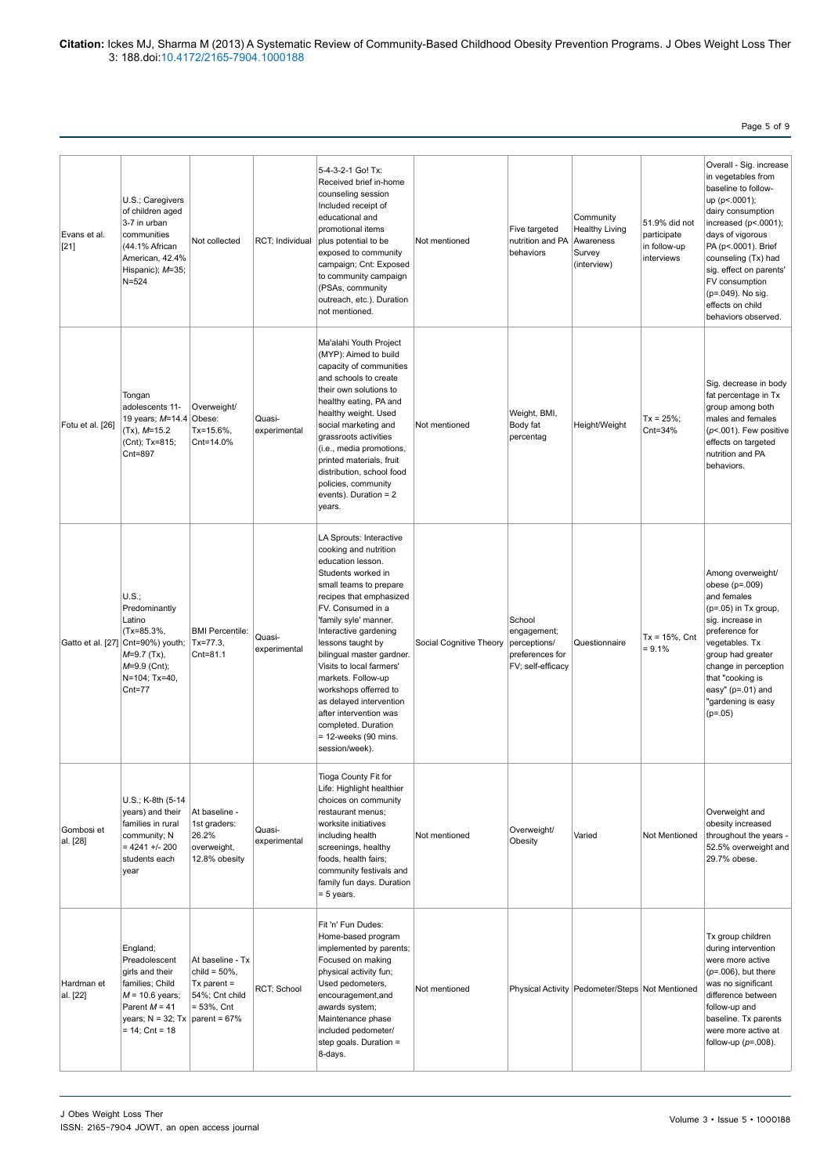Page 5 of 9

| Evans et al.<br>$[21]$ | U.S.; Caregivers<br>of children aged<br>3-7 in urban<br>communities<br>(44.1% African<br>American, 42.4%<br>Hispanic); M=35;<br>$N = 524$                           | Not collected                                                                            | RCT; Individual        | 5-4-3-2-1 Go! Tx:<br>Received brief in-home<br>counseling session<br>Included receipt of<br>educational and<br>promotional items<br>plus potential to be<br>exposed to community<br>campaign; Cnt: Exposed<br>to community campaign<br>(PSAs, community<br>outreach, etc.). Duration<br>not mentioned.                                                                                                                                                                        | Not mentioned           | Five targeted<br>nutrition and PA<br>behaviors                                | Community<br><b>Healthy Living</b><br>Awareness<br>Survey<br>(interview) | 51.9% did not<br>participate<br>in follow-up<br>interviews | Overall - Sig. increase<br>in vegetables from<br>baseline to follow-<br>up (p <. 0001);<br>dairy consumption<br>increased (p<.0001);<br>days of vigorous<br>PA (p <. 0001). Brief<br>counseling (Tx) had<br>sig. effect on parents'<br>FV consumption<br>(p=.049). No sig.<br>effects on child<br>behaviors observed. |
|------------------------|---------------------------------------------------------------------------------------------------------------------------------------------------------------------|------------------------------------------------------------------------------------------|------------------------|-------------------------------------------------------------------------------------------------------------------------------------------------------------------------------------------------------------------------------------------------------------------------------------------------------------------------------------------------------------------------------------------------------------------------------------------------------------------------------|-------------------------|-------------------------------------------------------------------------------|--------------------------------------------------------------------------|------------------------------------------------------------|-----------------------------------------------------------------------------------------------------------------------------------------------------------------------------------------------------------------------------------------------------------------------------------------------------------------------|
| Fotu et al. [26]       | Tongan<br>adolescents 11-<br>19 years; M=14.4 Obese:<br>$(Tx), M=15.2$<br>(Cnt); Tx=815;<br>Cnt=897                                                                 | Overweight/<br>Tx=15.6%,<br>Cnt=14.0%                                                    | Quasi-<br>experimental | Ma'alahi Youth Project<br>(MYP): Aimed to build<br>capacity of communities<br>and schools to create<br>their own solutions to<br>healthy eating, PA and<br>healthy weight. Used<br>social marketing and<br>grassroots activities<br>(i.e., media promotions,<br>printed materials, fruit<br>distribution, school food<br>policies, community<br>events). Duration = $2$<br>years.                                                                                             | Not mentioned           | Weight, BMI,<br>Body fat<br>percentag                                         | Height/Weight                                                            | $Tx = 25\%;$<br>Cnt=34%                                    | Sig. decrease in body<br>fat percentage in Tx<br>group among both<br>males and females<br>$(p<.001)$ . Few positive<br>effects on targeted<br>nutrition and PA<br>behaviors.                                                                                                                                          |
|                        | U.S.:<br>Predominantly<br>Latino<br>(Tx=85.3%,<br>Gatto et al. [27] Cnt=90%) youth;<br>$M=9.7$ (Tx),<br>$M=9.9$ (Cnt);<br>N=104; Tx=40,<br>$Cnt = 77$               | <b>BMI Percentile:</b><br>Tx=77.3,<br>Cnt=81.1                                           | Quasi-<br>experimental | LA Sprouts: Interactive<br>cooking and nutrition<br>education lesson.<br>Students worked in<br>small teams to prepare<br>recipes that emphasized<br>FV. Consumed in a<br>'family syle' manner.<br>Interactive gardening<br>lessons taught by<br>bilingual master gardner.<br>Visits to local farmers'<br>markets. Follow-up<br>workshops offerred to<br>as delayed intervention<br>after intervention was<br>completed. Duration<br>$= 12$ -weeks (90 mins.<br>session/week). | Social Cognitive Theory | School<br>engagement;<br>perceptions/<br>preferences for<br>FV; self-efficacy | Questionnaire                                                            | $Tx = 15\%$ , Cnt<br>$= 9.1%$                              | Among overweight/<br>obese $(p=.009)$<br>and females<br>$(p=.05)$ in Tx group,<br>sig. increase in<br>preference for<br>vegetables. Tx<br>group had greater<br>change in perception<br>that "cooking is<br>easy" ( $p=.01$ ) and<br>"gardening is easy<br>$(p=.05)$                                                   |
| Gombosi et<br>al. [28] | U.S.; K-8th (5-14<br>years) and their<br>families in rural<br>community; N<br>$= 4241 + 200$<br>students each<br>year                                               | At baseline -<br>1st graders:<br>26.2%<br>overweight,<br>12.8% obesity                   | Quasi-<br>experimental | Tioga County Fit for<br>Life: Highlight healthier<br>choices on community<br>restaurant menus;<br>worksite initiatives<br>including health<br>screenings, healthy<br>foods, health fairs;<br>community festivals and<br>family fun days. Duration<br>$= 5$ years.                                                                                                                                                                                                             | Not mentioned           | Overweight/<br>Obesity                                                        | Varied                                                                   | Not Mentioned                                              | Overweight and<br>obesity increased<br>throughout the years -<br>52.5% overweight and<br>29.7% obese.                                                                                                                                                                                                                 |
| Hardman et<br>al. [22] | England;<br>Preadolescent<br>girls and their<br>families; Child<br>$M = 10.6$ years;<br>Parent $M = 41$<br>years; $N = 32$ ; Tx   parent = 67%<br>$= 14$ ; Cnt = 18 | At baseline - Tx<br>child = $50\%$ ,<br>Tx parent $=$<br>54%; Cnt child<br>$= 53\%,$ Cnt | RCT; School            | Fit 'n' Fun Dudes:<br>Home-based program<br>implemented by parents;<br>Focused on making<br>physical activity fun;<br>Used pedometers,<br>encouragement, and<br>awards system;<br>Maintenance phase<br>included pedometer/<br>step goals. Duration =<br>8-days.                                                                                                                                                                                                               | Not mentioned           |                                                                               | Physical Activity   Pedometer/Steps   Not Mentioned                      |                                                            | Tx group children<br>during intervention<br>were more active<br>$(p=.006)$ , but there<br>was no significant<br>difference between<br>follow-up and<br>baseline. Tx parents<br>were more active at<br>follow-up $(p=.008)$ .                                                                                          |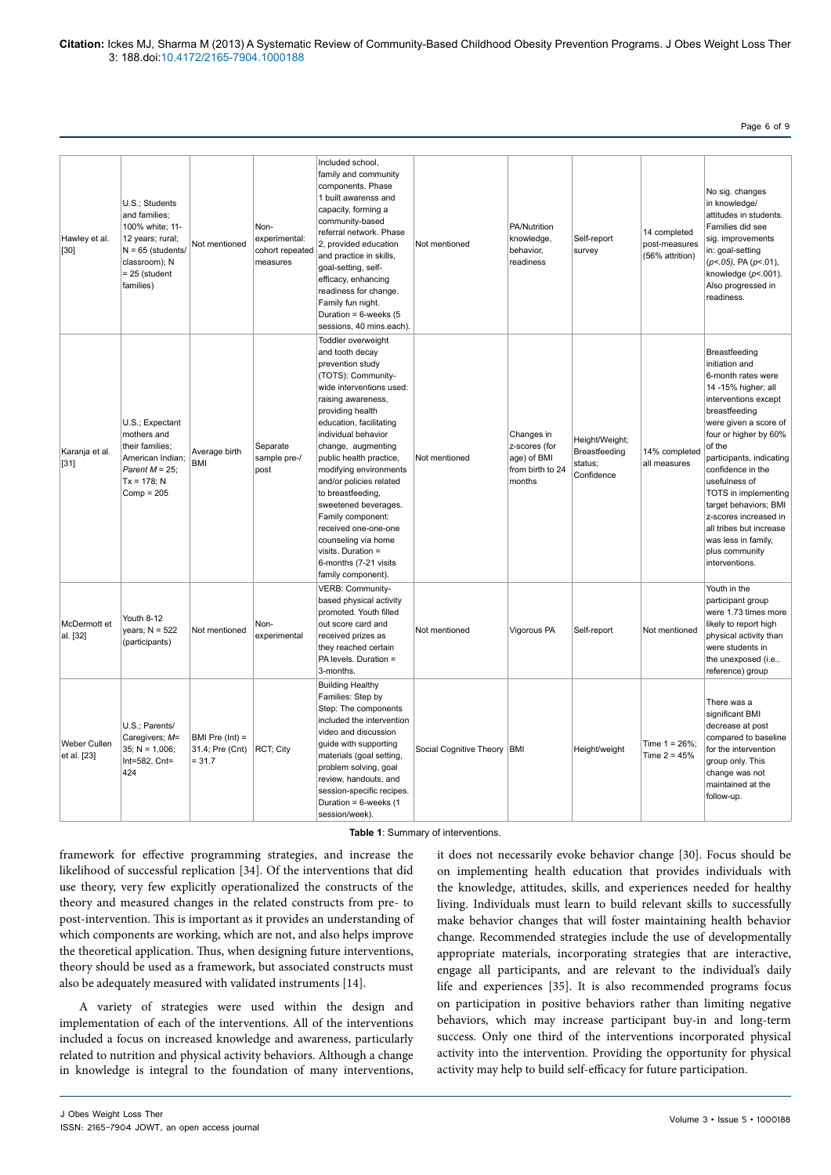Page 6 of 9

| Hawley et al.<br>$[30]$     | U.S.; Students<br>and families;<br>100% white; 11-<br>12 years; rural;<br>$N = 65$ (students/<br>classroom); N<br>$= 25$ (student<br>families) | Not mentioned                                    | Non-<br>experimental:<br>cohort repeated<br>measures | Included school,<br>family and community<br>components. Phase<br>1 built awarenss and<br>capacity, forming a<br>community-based<br>referral network. Phase<br>2, provided education<br>and practice in skills,<br>goal-setting, self-<br>efficacy, enhancing<br>readiness for change.<br>Family fun night.<br>Duration = $6$ -weeks (5<br>sessions, 40 mins.each).                                                                                                                                  | Not mentioned                 | PA/Nutrition<br>knowledge,<br>behavior,<br>readiness                     | Self-report<br>survey                                    | 14 completed<br>post-measures<br>(56% attrition) | No sig. changes<br>in knowledge/<br>attitudes in students.<br>Families did see<br>sig. improvements<br>in: goal-setting<br>(p <. 05), PA (p <. 01),<br>knowledge $(p<.001)$ .<br>Also progressed in<br>readiness.                                                                                                                                                                                                   |
|-----------------------------|------------------------------------------------------------------------------------------------------------------------------------------------|--------------------------------------------------|------------------------------------------------------|-----------------------------------------------------------------------------------------------------------------------------------------------------------------------------------------------------------------------------------------------------------------------------------------------------------------------------------------------------------------------------------------------------------------------------------------------------------------------------------------------------|-------------------------------|--------------------------------------------------------------------------|----------------------------------------------------------|--------------------------------------------------|---------------------------------------------------------------------------------------------------------------------------------------------------------------------------------------------------------------------------------------------------------------------------------------------------------------------------------------------------------------------------------------------------------------------|
| Karanja et al.<br>$[31]$    | U.S.; Expectant<br>mothers and<br>their families;<br>American Indian;<br>Parent $M = 25$ ;<br>$Tx = 178; N$<br>$Comp = 205$                    | Average birth<br><b>BMI</b>                      | Separate<br>sample pre-/<br>post                     | Toddler overweight<br>and tooth decay<br>prevention study<br>(TOTS): Community-<br>wide interventions used:<br>raising awareness,<br>providing health<br>education, facilitating<br>individual behavior<br>change, augmenting<br>public health practice,<br>modifying environments<br>and/or policies related<br>to breastfeeding,<br>sweetened beverages.<br>Family component:<br>received one-one-one<br>counseling via home<br>visits. Duration =<br>6-months (7-21 visits<br>family component). | Not mentioned                 | Changes in<br>z-scores (for<br>age) of BMI<br>from birth to 24<br>months | Height/Weight;<br>Breastfeeding<br>status;<br>Confidence | 14% completed<br>all measures                    | Breastfeeding<br>initiation and<br>6-month rates were<br>14 -15% higher; all<br>interventions except<br>breastfeeding<br>were given a score of<br>four or higher by 60%<br>of the<br>participants, indicating<br>confidence in the<br>usefulness of<br>TOTS in implementing<br>target behaviors; BMI<br>z-scores increased in<br>all tribes but increase<br>was less in family,<br>plus community<br>interventions. |
| McDermott et<br>al. [32]    | Youth 8-12<br>years; $N = 522$<br>(participants)                                                                                               | Not mentioned                                    | Non-<br>experimental                                 | VERB: Community-<br>based physical activity<br>promoted. Youth filled<br>out score card and<br>received prizes as<br>they reached certain<br>PA levels. Duration =<br>3-months.                                                                                                                                                                                                                                                                                                                     | Not mentioned                 | Vigorous PA                                                              | Self-report                                              | Not mentioned                                    | Youth in the<br>participant group<br>were 1.73 times more<br>likely to report high<br>physical activity than<br>were students in<br>the unexposed (i.e.,<br>reference) group                                                                                                                                                                                                                                        |
| Weber Cullen<br>et al. [23] | U.S.; Parents/<br>Caregivers; M=<br>$35$ ; N = 1,006;<br>Int=582, Cnt=<br>424                                                                  | BMI Pre $(int) =$<br>31.4; Pre (Cnt)<br>$= 31.7$ | RCT; City                                            | <b>Building Healthy</b><br>Families: Step by<br>Step: The components<br>included the intervention<br>video and discussion<br>guide with supporting<br>materials (goal setting,<br>problem solving, goal<br>review, handouts, and<br>session-specific recipes.<br>Duration = 6-weeks (1<br>session/week).                                                                                                                                                                                            | Social Cognitive Theory   BMI |                                                                          | Height/weight                                            | Time $1 = 26\%$ :<br>Time $2 = 45%$              | There was a<br>significant BMI<br>decrease at post<br>compared to baseline<br>for the intervention<br>group only. This<br>change was not<br>maintained at the<br>follow-up.                                                                                                                                                                                                                                         |

**Table 1**: Summary of interventions.

framework for effective programming strategies, and increase the likelihood of successful replication [34]. Of the interventions that did use theory, very few explicitly operationalized the constructs of the theory and measured changes in the related constructs from pre- to post-intervention. This is important as it provides an understanding of which components are working, which are not, and also helps improve the theoretical application. Thus, when designing future interventions, theory should be used as a framework, but associated constructs must also be adequately measured with validated instruments [14].

A variety of strategies were used within the design and implementation of each of the interventions. All of the interventions included a focus on increased knowledge and awareness, particularly related to nutrition and physical activity behaviors. Although a change in knowledge is integral to the foundation of many interventions, it does not necessarily evoke behavior change [30]. Focus should be on implementing health education that provides individuals with the knowledge, attitudes, skills, and experiences needed for healthy living. Individuals must learn to build relevant skills to successfully make behavior changes that will foster maintaining health behavior change. Recommended strategies include the use of developmentally appropriate materials, incorporating strategies that are interactive, engage all participants, and are relevant to the individual's daily life and experiences [35]. It is also recommended programs focus on participation in positive behaviors rather than limiting negative behaviors, which may increase participant buy-in and long-term success. Only one third of the interventions incorporated physical activity into the intervention. Providing the opportunity for physical activity may help to build self-efficacy for future participation.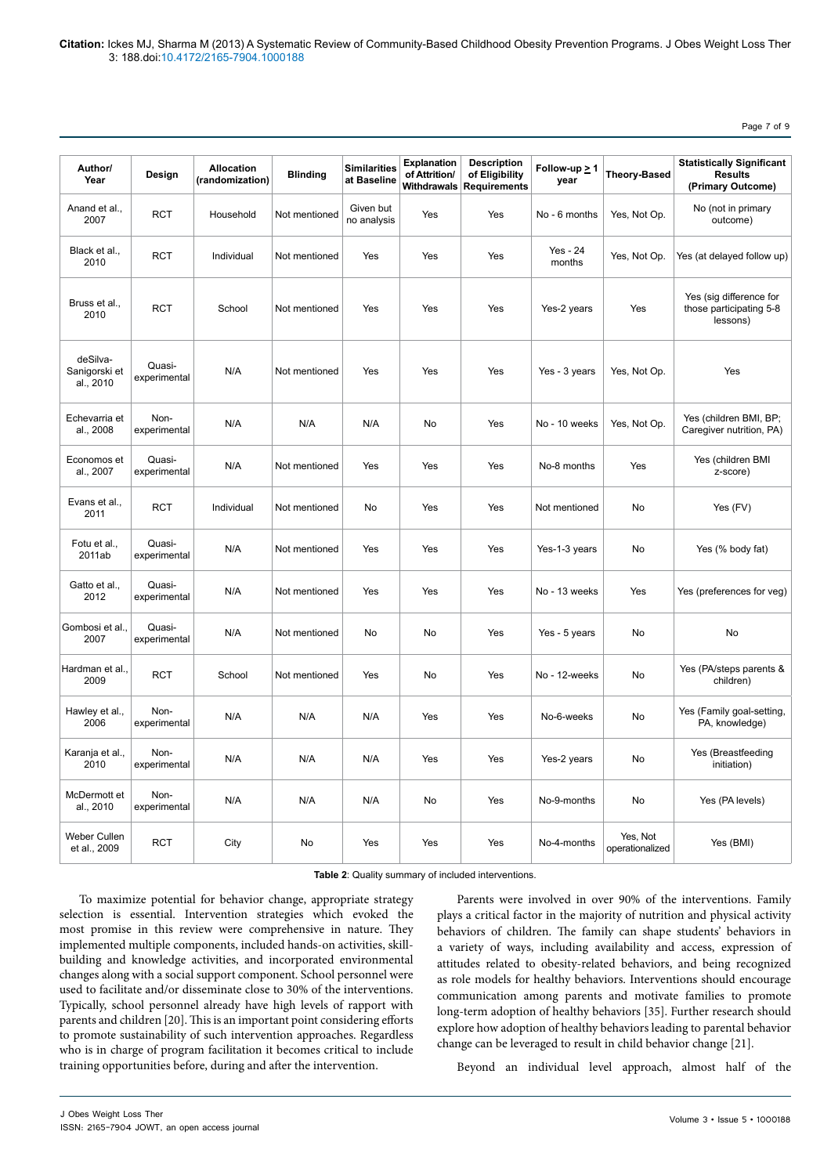Page 7 of 9

| Author/<br>Year                        | Design                 | <b>Allocation</b><br>(randomization) | <b>Blinding</b> | <b>Similarities</b><br>at Baseline | <b>Explanation</b><br>of Attrition/<br><b>Withdrawals</b> | <b>Description</b><br>of Eligibility<br><b>Requirements</b> | Follow-up $\geq 1$<br>year | <b>Theory-Based</b>         | <b>Statistically Significant</b><br><b>Results</b><br>(Primary Outcome) |
|----------------------------------------|------------------------|--------------------------------------|-----------------|------------------------------------|-----------------------------------------------------------|-------------------------------------------------------------|----------------------------|-----------------------------|-------------------------------------------------------------------------|
| Anand et al.,<br>2007                  | <b>RCT</b>             | Household                            | Not mentioned   | Given but<br>no analysis           | Yes                                                       | Yes                                                         | No - 6 months              | Yes, Not Op.                | No (not in primary<br>outcome)                                          |
| Black et al.,<br>2010                  | <b>RCT</b>             | Individual                           | Not mentioned   | Yes                                | Yes                                                       | Yes                                                         | Yes - 24<br>months         | Yes, Not Op.                | Yes (at delayed follow up)                                              |
| Bruss et al.,<br>2010                  | <b>RCT</b>             | School                               | Not mentioned   | Yes                                | Yes                                                       | Yes                                                         | Yes-2 years                | Yes                         | Yes (sig difference for<br>those participating 5-8<br>lessons)          |
| deSilva-<br>Sanigorski et<br>al., 2010 | Quasi-<br>experimental | N/A                                  | Not mentioned   | Yes                                | Yes                                                       | Yes                                                         | Yes - 3 years              | Yes, Not Op.                | Yes                                                                     |
| Echevarria et<br>al., 2008             | Non-<br>experimental   | N/A                                  | N/A             | N/A                                | No                                                        | Yes                                                         | No - 10 weeks              | Yes, Not Op.                | Yes (children BMI, BP;<br>Caregiver nutrition, PA)                      |
| Economos et<br>al., 2007               | Quasi-<br>experimental | N/A                                  | Not mentioned   | Yes                                | Yes                                                       | Yes                                                         | No-8 months                | Yes                         | Yes (children BMI<br>z-score)                                           |
| Evans et al.,<br>2011                  | <b>RCT</b>             | Individual                           | Not mentioned   | No                                 | Yes                                                       | Yes                                                         | Not mentioned              | No                          | Yes (FV)                                                                |
| Fotu et al.,<br>2011ab                 | Quasi-<br>experimental | N/A                                  | Not mentioned   | Yes                                | Yes                                                       | Yes                                                         | Yes-1-3 years              | No                          | Yes (% body fat)                                                        |
| Gatto et al.,<br>2012                  | Quasi-<br>experimental | N/A                                  | Not mentioned   | Yes                                | Yes                                                       | Yes                                                         | No - 13 weeks              | Yes                         | Yes (preferences for veg)                                               |
| Gombosi et al.,<br>2007                | Quasi-<br>experimental | N/A                                  | Not mentioned   | No                                 | No                                                        | Yes                                                         | Yes - 5 years              | No                          | No                                                                      |
| Hardman et al.,<br>2009                | <b>RCT</b>             | School                               | Not mentioned   | Yes                                | No                                                        | Yes                                                         | No - 12-weeks              | No                          | Yes (PA/steps parents &<br>children)                                    |
| Hawley et al.,<br>2006                 | Non-<br>experimental   | N/A                                  | N/A             | N/A                                | Yes                                                       | Yes                                                         | No-6-weeks                 | No                          | Yes (Family goal-setting,<br>PA, knowledge)                             |
| Karanja et al.,<br>2010                | Non-<br>experimental   | N/A                                  | N/A             | N/A                                | Yes                                                       | Yes                                                         | Yes-2 years                | No                          | Yes (Breastfeeding<br>initiation)                                       |
| McDermott et<br>al., 2010              | Non-<br>experimental   | N/A                                  | N/A             | N/A                                | No                                                        | Yes                                                         | No-9-months                | <b>No</b>                   | Yes (PA levels)                                                         |
| <b>Weber Cullen</b><br>et al., 2009    | <b>RCT</b>             | City                                 | No              | Yes                                | Yes                                                       | Yes                                                         | No-4-months                | Yes, Not<br>operationalized | Yes (BMI)                                                               |

**Table 2**: Quality summary of included interventions.

To maximize potential for behavior change, appropriate strategy selection is essential. Intervention strategies which evoked the most promise in this review were comprehensive in nature. They implemented multiple components, included hands-on activities, skillbuilding and knowledge activities, and incorporated environmental changes along with a social support component. School personnel were used to facilitate and/or disseminate close to 30% of the interventions. Typically, school personnel already have high levels of rapport with parents and children [20]. This is an important point considering efforts to promote sustainability of such intervention approaches. Regardless who is in charge of program facilitation it becomes critical to include training opportunities before, during and after the intervention.

Parents were involved in over 90% of the interventions. Family plays a critical factor in the majority of nutrition and physical activity behaviors of children. The family can shape students' behaviors in a variety of ways, including availability and access, expression of attitudes related to obesity-related behaviors, and being recognized as role models for healthy behaviors. Interventions should encourage communication among parents and motivate families to promote long-term adoption of healthy behaviors [35]. Further research should explore how adoption of healthy behaviors leading to parental behavior change can be leveraged to result in child behavior change [21].

Beyond an individual level approach, almost half of the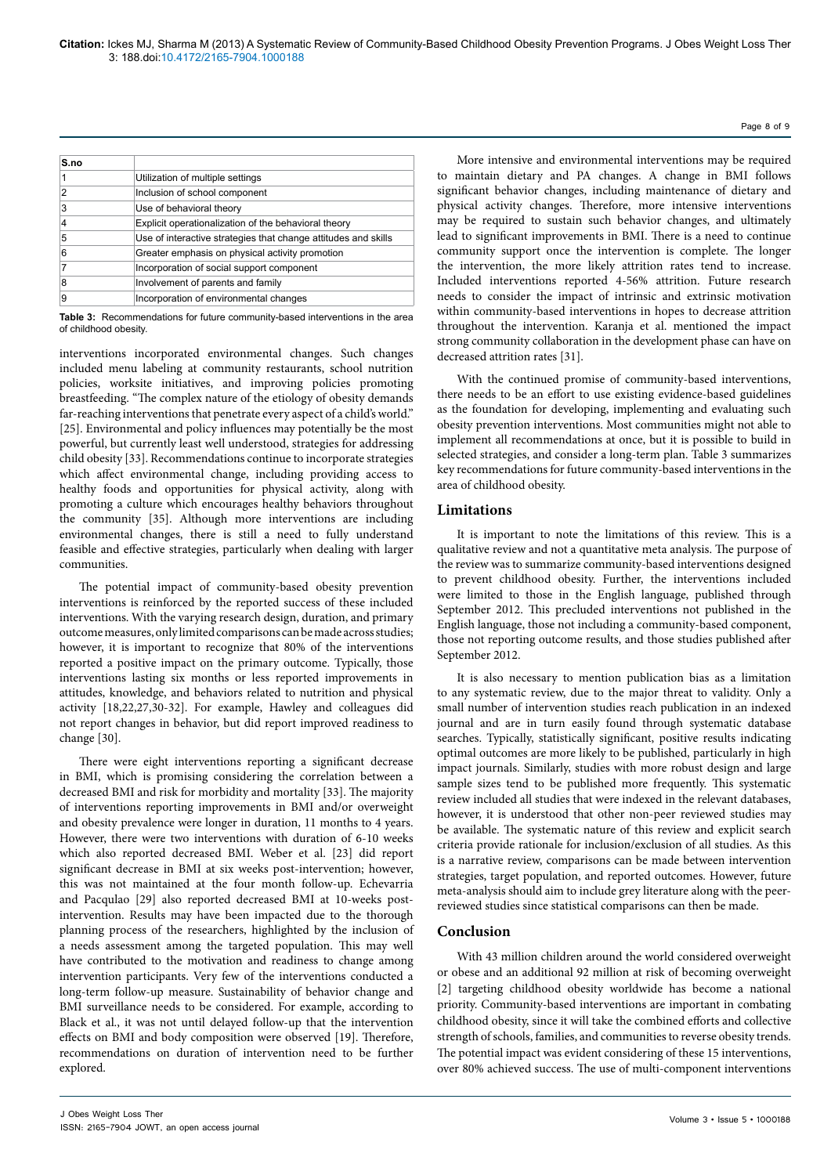| S.no |                                                                |
|------|----------------------------------------------------------------|
|      | Utilization of multiple settings                               |
| 2    | Inclusion of school component                                  |
| 3    | Use of behavioral theory                                       |
| 4    | Explicit operationalization of the behavioral theory           |
| 5    | Use of interactive strategies that change attitudes and skills |
| 6    | Greater emphasis on physical activity promotion                |
|      | Incorporation of social support component                      |
| 8    | Involvement of parents and family                              |
| 9    | Incorporation of environmental changes                         |

**Table 3:** Recommendations for future community-based interventions in the area of childhood obesity.

interventions incorporated environmental changes. Such changes included menu labeling at community restaurants, school nutrition policies, worksite initiatives, and improving policies promoting breastfeeding. "The complex nature of the etiology of obesity demands far-reaching interventions that penetrate every aspect of a child's world." [25]. Environmental and policy influences may potentially be the most powerful, but currently least well understood, strategies for addressing child obesity [33]. Recommendations continue to incorporate strategies which affect environmental change, including providing access to healthy foods and opportunities for physical activity, along with promoting a culture which encourages healthy behaviors throughout the community [35]. Although more interventions are including environmental changes, there is still a need to fully understand feasible and effective strategies, particularly when dealing with larger communities.

The potential impact of community-based obesity prevention interventions is reinforced by the reported success of these included interventions. With the varying research design, duration, and primary outcome measures, only limited comparisons can be made across studies; however, it is important to recognize that 80% of the interventions reported a positive impact on the primary outcome. Typically, those interventions lasting six months or less reported improvements in attitudes, knowledge, and behaviors related to nutrition and physical activity [18,22,27,30-32]. For example, Hawley and colleagues did not report changes in behavior, but did report improved readiness to change [30].

There were eight interventions reporting a significant decrease in BMI, which is promising considering the correlation between a decreased BMI and risk for morbidity and mortality [33]. The majority of interventions reporting improvements in BMI and/or overweight and obesity prevalence were longer in duration, 11 months to 4 years. However, there were two interventions with duration of 6-10 weeks which also reported decreased BMI. Weber et al. [23] did report significant decrease in BMI at six weeks post-intervention; however, this was not maintained at the four month follow-up. Echevarria and Pacqulao [29] also reported decreased BMI at 10-weeks postintervention. Results may have been impacted due to the thorough planning process of the researchers, highlighted by the inclusion of a needs assessment among the targeted population. This may well have contributed to the motivation and readiness to change among intervention participants. Very few of the interventions conducted a long-term follow-up measure. Sustainability of behavior change and BMI surveillance needs to be considered. For example, according to Black et al., it was not until delayed follow-up that the intervention effects on BMI and body composition were observed [19]. Therefore, recommendations on duration of intervention need to be further explored.

More intensive and environmental interventions may be required to maintain dietary and PA changes. A change in BMI follows significant behavior changes, including maintenance of dietary and physical activity changes. Therefore, more intensive interventions may be required to sustain such behavior changes, and ultimately lead to significant improvements in BMI. There is a need to continue community support once the intervention is complete. The longer the intervention, the more likely attrition rates tend to increase. Included interventions reported 4-56% attrition. Future research needs to consider the impact of intrinsic and extrinsic motivation within community-based interventions in hopes to decrease attrition throughout the intervention. Karanja et al. mentioned the impact strong community collaboration in the development phase can have on decreased attrition rates [31].

With the continued promise of community-based interventions, there needs to be an effort to use existing evidence-based guidelines as the foundation for developing, implementing and evaluating such obesity prevention interventions. Most communities might not able to implement all recommendations at once, but it is possible to build in selected strategies, and consider a long-term plan. Table 3 summarizes key recommendations for future community-based interventions in the area of childhood obesity.

# **Limitations**

It is important to note the limitations of this review. This is a qualitative review and not a quantitative meta analysis. The purpose of the review was to summarize community-based interventions designed to prevent childhood obesity. Further, the interventions included were limited to those in the English language, published through September 2012. This precluded interventions not published in the English language, those not including a community-based component, those not reporting outcome results, and those studies published after September 2012.

It is also necessary to mention publication bias as a limitation to any systematic review, due to the major threat to validity. Only a small number of intervention studies reach publication in an indexed journal and are in turn easily found through systematic database searches. Typically, statistically significant, positive results indicating optimal outcomes are more likely to be published, particularly in high impact journals. Similarly, studies with more robust design and large sample sizes tend to be published more frequently. This systematic review included all studies that were indexed in the relevant databases, however, it is understood that other non-peer reviewed studies may be available. The systematic nature of this review and explicit search criteria provide rationale for inclusion/exclusion of all studies. As this is a narrative review, comparisons can be made between intervention strategies, target population, and reported outcomes. However, future meta-analysis should aim to include grey literature along with the peerreviewed studies since statistical comparisons can then be made.

# **Conclusion**

With 43 million children around the world considered overweight or obese and an additional 92 million at risk of becoming overweight [2] targeting childhood obesity worldwide has become a national priority. Community-based interventions are important in combating childhood obesity, since it will take the combined efforts and collective strength of schools, families, and communities to reverse obesity trends. The potential impact was evident considering of these 15 interventions, over 80% achieved success. The use of multi-component interventions